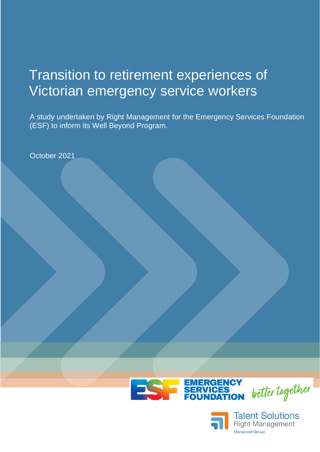# Transition to retirement experiences of Victorian emergency service workers

A study undertaken by Right Management for the Emergency Services Foundation (ESF) to inform its Well Beyond Program.

October 2021



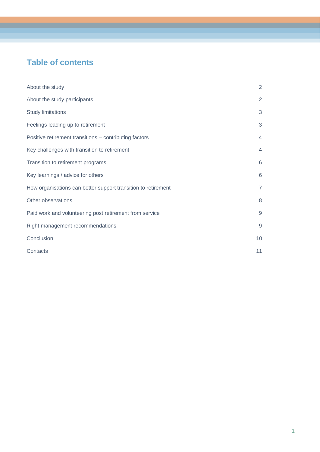# **Table of contents**

| About the study                                               | $\overline{2}$ |
|---------------------------------------------------------------|----------------|
| About the study participants                                  | 2              |
| <b>Study limitations</b>                                      | $\mathfrak{S}$ |
| Feelings leading up to retirement                             | 3              |
| Positive retirement transitions - contributing factors        | $\overline{4}$ |
| Key challenges with transition to retirement                  | $\overline{4}$ |
| Transition to retirement programs                             | 6              |
| Key learnings / advice for others                             | 6              |
| How organisations can better support transition to retirement | $\overline{7}$ |
| Other observations                                            | 8              |
| Paid work and volunteering post retirement from service       | $9\,$          |
| Right management recommendations                              | 9              |
| Conclusion                                                    | 10             |
| Contacts                                                      | 11             |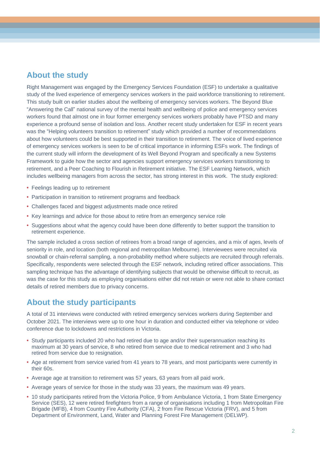#### **About the study**

Right Management was engaged by the Emergency Services Foundation (ESF) to undertake a qualitative study of the lived experience of emergency services workers in the paid workforce transitioning to retirement. This study built on earlier studies about the wellbeing of emergency services workers. The Beyond Blue "Answering the Call" national survey of the mental health and wellbeing of police and emergency services workers found that almost one in four former emergency services workers probably have PTSD and many experience a profound sense of isolation and loss. Another recent study undertaken for ESF in recent years was the "Helping volunteers transition to retirement" study which provided a number of recommendations about how volunteers could be best supported in their transition to retirement. The voice of lived experience of emergency services workers is seen to be of critical importance in informing ESFs work. The findings of the current study will inform the development of its Well Beyond Program and specifically a new Systems Framework to guide how the sector and agencies support emergency services workers transitioning to retirement, and a Peer Coaching to Flourish in Retirement initiative. The ESF Learning Network, which includes wellbeing managers from across the sector, has strong interest in this work. The study explored:

- **•** Feelings leading up to retirement
- **•** Participation in transition to retirement programs and feedback
- **•** Challenges faced and biggest adjustments made once retired
- **•** Key learnings and advice for those about to retire from an emergency service role
- **•** Suggestions about what the agency could have been done differently to better support the transition to retirement experience.

The sample included a cross section of retirees from a broad range of agencies, and a mix of ages, levels of seniority in role, and location (both regional and metropolitan Melbourne). Interviewees were recruited via snowball or chain-referral sampling, a non-probability method where subjects are recruited through referrals. Specifically, respondents were selected through the ESF network, including retired officer associations. This sampling technique has the advantage of identifying subjects that would be otherwise difficult to recruit, as was the case for this study as employing organisations either did not retain or were not able to share contact details of retired members due to privacy concerns.

#### **About the study participants**

A total of 31 interviews were conducted with retired emergency services workers during September and October 2021. The interviews were up to one hour in duration and conducted either via telephone or video conference due to lockdowns and restrictions in Victoria.

- **•** Study participants included 20 who had retired due to age and/or their superannuation reaching its maximum at 30 years of service, 8 who retired from service due to medical retirement and 3 who had retired from service due to resignation.
- **•** Age at retirement from service varied from 41 years to 78 years, and most participants were currently in their 60s.
- **•** Average age at transition to retirement was 57 years, 63 years from all paid work.
- **•** Average years of service for those in the study was 33 years, the maximum was 49 years.
- **•** 10 study participants retired from the Victoria Police, 9 from Ambulance Victoria, 1 from State Emergency Service (SES), 12 were retired firefighters from a range of organisations including 1 from Metropolitan Fire Brigade (MFB), 4 from Country Fire Authority (CFA), 2 from Fire Rescue Victoria (FRV), and 5 from Department of Environment, Land, Water and Planning Forest Fire Management (DELWP).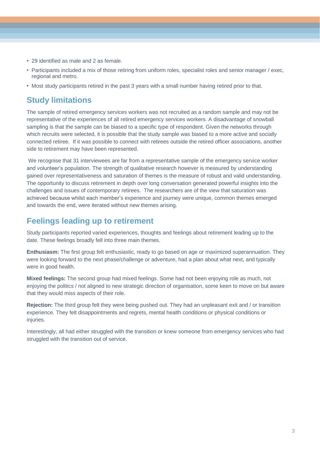- **•** 29 identified as male and 2 as female.
- **•** Participants included a mix of those retiring from uniform roles, specialist roles and senior manager / exec, regional and metro.
- **•** Most study participants retired in the past 3 years with a small number having retired prior to that.

### **Study limitations**

The sample of retired emergency services workers was not recruited as a random sample and may not be representative of the experiences of all retired emergency services workers. A disadvantage of snowball sampling is that the sample can be biased to a specific type of respondent. Given the networks through which recruits were selected, it is possible that the study sample was biased to a more active and socially connected retiree. If it was possible to connect with retirees outside the retired officer associations, another side to retirement may have been represented.

We recognise that 31 interviewees are far from a representative sample of the emergency service worker and volunteer's population. The strength of qualitative research however is measured by understanding gained over representativeness and saturation of themes is the measure of robust and valid understanding. The opportunity to discuss retirement in depth over long conversation generated powerful insights into the challenges and issues of contemporary retirees. The researchers are of the view that saturation was achieved because whilst each member's experience and journey were unique, common themes emerged and towards the end, were iterated without new themes arising.

#### **Feelings leading up to retirement**

Study participants reported varied experiences, thoughts and feelings about retirement leading up to the date. These feelings broadly fell into three main themes.

**Enthusiasm:** The first group felt enthusiastic, ready to go based on age or maximized superannuation. They were looking forward to the next phase/challenge or adventure, had a plan about what next, and typically were in good health.

**Mixed feelings:** The second group had mixed feelings. Some had not been enjoying role as much, not enjoying the politics / not aligned to new strategic direction of organisation, some keen to move on but aware that they would miss aspects of their role.

**Rejection:** The third group felt they were being pushed out. They had an unpleasant exit and / or transition experience. They felt disappointments and regrets, mental health conditions or physical conditions or injuries.

Interestingly, all had either struggled with the transition or knew someone from emergency services who had struggled with the transition out of service.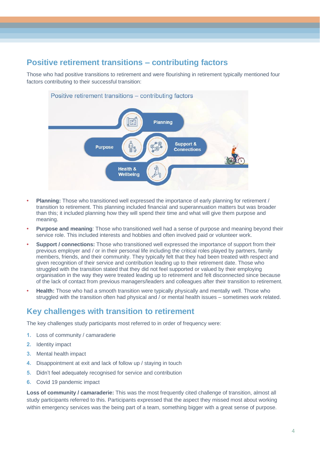# **Positive retirement transitions – contributing factors**

Those who had positive transitions to retirement and were flourishing in retirement typically mentioned four factors contributing to their successful transition:



#### Positive retirement transitions - contributing factors

- **• Planning:** Those who transitioned well expressed the importance of early planning for retirement / transition to retirement. This planning included financial and superannuation matters but was broader than this; it included planning how they will spend their time and what will give them purpose and meaning.
- **• Purpose and meaning**: Those who transitioned well had a sense of purpose and meaning beyond their service role. This included interests and hobbies and often involved paid or volunteer work.
- **• Support / connections:** Those who transitioned well expressed the importance of support from their previous employer and / or in their personal life including the critical roles played by partners, family members, friends, and their community. They typically felt that they had been treated with respect and given recognition of their service and contribution leading up to their retirement date. Those who struggled with the transition stated that they did not feel supported or valued by their employing organisation in the way they were treated leading up to retirement and felt disconnected since because of the lack of contact from previous managers/leaders and colleagues after their transition to retirement.
- **• Health:** Those who had a smooth transition were typically physically and mentally well. Those who struggled with the transition often had physical and / or mental health issues – sometimes work related.

#### **Key challenges with transition to retirement**

The key challenges study participants most referred to in order of frequency were:

- **1.** Loss of community / camaraderie
- **2.** Identity impact
- **3.** Mental health impact
- **4.** Disappointment at exit and lack of follow up / staying in touch
- **5.** Didn't feel adequately recognised for service and contribution
- **6.** Covid 19 pandemic impact

**Loss of community / camaraderie:** This was the most frequently cited challenge of transition, almost all study participants referred to this. Participants expressed that the aspect they missed most about working within emergency services was the being part of a team, something bigger with a great sense of purpose.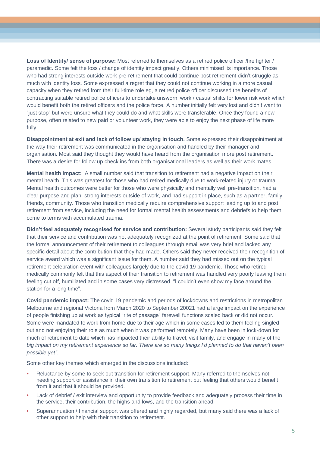**Loss of Identify/ sense of purpose:** Most referred to themselves as a retired police officer /fire fighter / paramedic. Some felt the loss / change of identity impact greatly. Others minimised its importance. Those who had strong interests outside work pre-retirement that could continue post retirement didn't struggle as much with identity loss. Some expressed a regret that they could not continue working in a more casual capacity when they retired from their full-time role eg, a retired police officer discussed the benefits of contracting suitable retired police officers to undertake unsworn' work / casual shifts for lower risk work which would benefit both the retired officers and the police force. A number initially felt very lost and didn't want to "just stop" but were unsure what they could do and what skills were transferable. Once they found a new purpose, often related to new paid or volunteer work, they were able to enjoy the next phase of life more fully.

**Disappointment at exit and lack of follow up/ staying in touch.** Some expressed their disappointment at the way their retirement was communicated in the organisation and handled by their manager and organisation. Most said they thought they would have heard from the organisation more post retirement. There was a desire for follow up check ins from both organisational leaders as well as their work mates.

**Mental health impact:** A small number said that transition to retirement had a negative impact on their mental health. This was greatest for those who had retired medically due to work-related injury or trauma. Mental health outcomes were better for those who were physically and mentally well pre-transition, had a clear purpose and plan, strong interests outside of work, and had support in place, such as a partner, family, friends, community. Those who transition medically require comprehensive support leading up to and post retirement from service, including the need for formal mental health assessments and debriefs to help them come to terms with accumulated trauma.

**Didn't feel adequately recognised for service and contribution:** Several study participants said they felt that their service and contribution was not adequately recognized at the point of retirement. Some said that the formal announcement of their retirement to colleagues through email was very brief and lacked any specific detail about the contribution that they had made. Others said they never received their recognition of service award which was a significant issue for them. A number said they had missed out on the typical retirement celebration event with colleagues largely due to the covid 19 pandemic. Those who retired medically commonly felt that this aspect of their transition to retirement was handled very poorly leaving them feeling cut off, humiliated and in some cases very distressed. "I couldn't even show my face around the station for a long time".

**Covid pandemic impact:** The covid 19 pandemic and periods of lockdowns and restrictions in metropolitan Melbourne and regional Victoria from March 2020 to September 20021 had a large impact on the experience of people finishing up at work as typical "rite of passage" farewell functions scaled back or did not occur. Some were mandated to work from home due to their age which in some cases led to them feeling singled out and not enjoying their role as much when it was performed remotely. Many have been in lock-down for much of retirement to date which has impacted their ability to travel, visit family, and engage in many of the *big impact on my retirement experience so far. There are so many things I'd planned to do that haven't been possible yet".*

Some other key themes which emerged in the discussions included:

- **•** Reluctance by some to seek out transition for retirement support. Many referred to themselves not needing support or assistance in their own transition to retirement but feeling that others would benefit from it and that it should be provided.
- **•** Lack of debrief / exit interview and opportunity to provide feedback and adequately process their time in the service, their contribution, the highs and lows, and the transition ahead.
- **•** Superannuation / financial support was offered and highly regarded, but many said there was a lack of other support to help with their transition to retirement.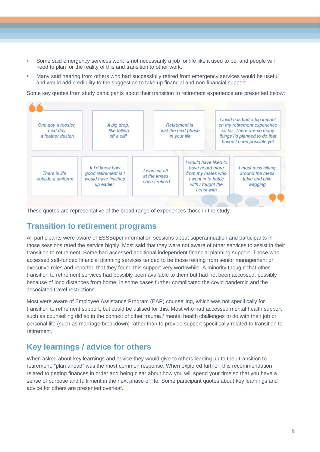- **•** Some said emergency services work is not necessarily a job for life like it used to be, and people will need to plan for the reality of this and transition to other work.
- **•** Many said hearing from others who had successfully retired from emergency services would be useful and would add credibility to the suggestion to take up financial and non-financial support

Some key quotes from study participants about their transition to retirement experience are presented below:



These quotes are representative of the broad range of experiences those in the study.

#### **Transition to retirement programs**

All participants were aware of ESSSuper information sessions about superannuation and participants in those sessions rated the service highly. Most said that they were not aware of other services to assist in their transition to retirement. Some had accessed additional independent financial planning support. Those who accessed self-funded financial planning services tended to be those retiring from senior management or executive roles and reported that they found this support very worthwhile. A minority thought that other transition to retirement services had possibly been available to them but had not been accessed, possibly because of long distances from home, in some cases further complicated the covid pandemic and the associated travel restrictions.

Most were aware of Employee Assistance Program (EAP) counselling, which was not specifically for transition to retirement support, but could be utilised for this. Most who had accessed mental health support such as counselling did so in the context of other trauma / mental health challenges to do with their job or personal life (such as marriage breakdown) rather than to provide support specifically related to transition to retirement.

## **Key learnings / advice for others**

When asked about key learnings and advice they would give to others leading up to their transition to retirement, "plan ahead" was the most common response. When explored further, this recommendation related to getting finances in order and being clear about how you will spend your time so that you have a sense of purpose and fulfilment in the next phase of life. Some participant quotes about key learnings and advice for others are presented overleaf.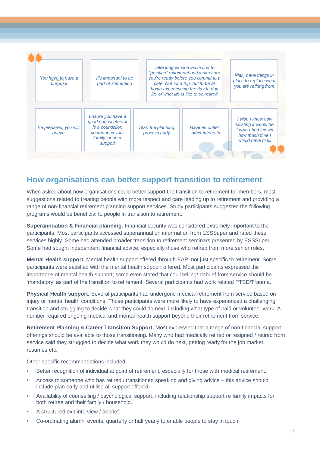

#### **How organisations can better support transition to retirement**

When asked about how organisations could better support the transition to retirement for members, most suggestions related to treating people with more respect and care leading up to retirement and providing a range of non-financial retirement planning support services. Study participants suggested the following programs would be beneficial to people in transition to retirement:

**Superannuation & Financial planning.** Financial security was considered extremely important to the participants. Most participants accessed superannuation information from ESSSuper and rated these services highly. Some had attended broader transition to retirement seminars presented by ESSSuper. Some had sought independent financial advice, especially those who retired from more senior roles.

**Mental Health support.** Mental health support offered through EAP, not just specific to retirement. Some participants were satisfied with the mental health support offered. Most participants expressed the importance of mental health support; some even stated that counselling/ debrief from service should be 'mandatory' as part of the transition to retirement. Several participants had work related PTSD/Trauma.

**Physical Health support.** Several participants had undergone medical retirement from service based on injury or mental health conditions. Those participants were more likely to have experienced a challenging transition and struggling to decide what they could do next, including what type of paid or volunteer work. A number required ongoing medical and mental health support beyond their retirement from service.

**Retirement Planning & Career Transition Support.** Most expressed that a range of non-financial support offerings should be available to those transitioning. Many who had medically retired or resigned / retired from service said they struggled to decide what work they would do next, getting ready for the job market, resumes etc.

Other specific recommendations included:

- **•** Better recognition of individual at point of retirement, especially for those with medical retirement.
- **•** Access to someone who has retired / transitioned speaking and giving advice this advice should include plan early and utilise all support offered.
- **•** Availability of counselling / psychological support, including relationship support re family impacts for both retiree and their family / household.
- **•** A structured exit interview / debrief.
- **•** Co-ordinating alumni events, quarterly or half yearly to enable people to stay in touch.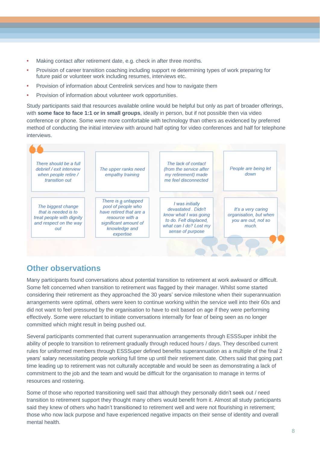- **•** Making contact after retirement date, e.g. check in after three months.
- **•** Provision of career transition coaching including support re determining types of work preparing for future paid or volunteer work including resumes, interviews etc.
- **•** Provision of information about Centrelink services and how to navigate them
- **•** Provision of information about volunteer work opportunities.

Study participants said that resources available online would be helpful but only as part of broader offerings, with **some face to face 1:1 or in small groups**, ideally in person, but if not possible then via video conference or phone. Some were more comfortable with technology than others as evidenced by preferred method of conducting the initial interview with around half opting for video conferences and half for telephone interviews.



## **Other observations**

Many participants found conversations about potential transition to retirement at work awkward or difficult. Some felt concerned when transition to retirement was flagged by their manager. Whilst some started considering their retirement as they approached the 30 years' service milestone when their superannuation arrangements were optimal, others were keen to continue working within the service well into their 60s and did not want to feel pressured by the organisation to have to exit based on age if they were performing effectively. Some were reluctant to initiate conversations internally for fear of being seen as no longer committed which might result in being pushed out.

Several participants commented that current superannuation arrangements through ESSSuper inhibit the ability of people to transition to retirement gradually through reduced hours / days. They described current rules for uniformed members through ESSSuper defined benefits superannuation as a multiple of the final 2 years' salary necessitating people working full time up until their retirement date. Others said that going part time leading up to retirement was not culturally acceptable and would be seen as demonstrating a lack of commitment to the job and the team and would be difficult for the organisation to manage in terms of resources and rostering.

Some of those who reported transitioning well said that although they personally didn't seek out / need transition to retirement support they thought many others would benefit from it. Almost all study participants said they knew of others who hadn't transitioned to retirement well and were not flourishing in retirement; those who now lack purpose and have experienced negative impacts on their sense of identity and overall mental health.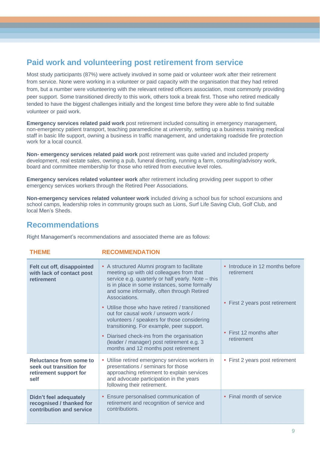## **Paid work and volunteering post retirement from service**

Most study participants (87%) were actively involved in some paid or volunteer work after their retirement from service. None were working in a volunteer or paid capacity with the organisation that they had retired from, but a number were volunteering with the relevant retired officers association, most commonly providing peer support. Some transitioned directly to this work, others took a break first. Those who retired medically tended to have the biggest challenges initially and the longest time before they were able to find suitable volunteer or paid work.

**Emergency services related paid work** post retirement included consulting in emergency management, non-emergency patient transport, teaching paramedicine at university, setting up a business training medical staff in basic life support, owning a business in traffic management, and undertaking roadside fire protection work for a local council.

**Non- emergency services related paid work** post retirement was quite varied and included property development, real estate sales, owning a pub, funeral directing, running a farm, consulting/advisory work, board and committee membership for those who retired from executive level roles.

**Emergency services related volunteer work** after retirement including providing peer support to other emergency services workers through the Retired Peer Associations.

**Non-emergency services related volunteer work** included driving a school bus for school excursions and school camps, leadership roles in community groups such as Lions, Surf Life Saving Club, Golf Club, and local Men's Sheds.

#### **Recommendations**

Right Management's recommendations and associated theme are as follows:

**THEME RECOMMENDATION**

| .                                                                                     | ハ、L∪∪ Ⅷ  L \ レ/\    ∪ \                                                                                                                                                                                                                                                                                                                                                                                                                                                                                                                                                                                      |                                                                                                                           |
|---------------------------------------------------------------------------------------|--------------------------------------------------------------------------------------------------------------------------------------------------------------------------------------------------------------------------------------------------------------------------------------------------------------------------------------------------------------------------------------------------------------------------------------------------------------------------------------------------------------------------------------------------------------------------------------------------------------|---------------------------------------------------------------------------------------------------------------------------|
| Felt cut off, disappointed<br>with lack of contact post<br>retirement                 | • A structured Alumni program to facilitate<br>meeting up with old colleagues from that<br>service e.g. quarterly or half yearly. Note – this<br>is in place in some instances, some formally<br>and some informally, often through Retired<br>Associations.<br>Utilise those who have retired / transitioned<br>$\bullet$<br>out for causal work / unsworn work /<br>volunteers / speakers for those considering<br>transitioning. For example, peer support.<br>Diarised check-ins from the organisation<br>$\bullet$<br>(leader / manager) post retirement e.g. 3<br>months and 12 months post retirement | • Introduce in 12 months before<br>retirement<br>• First 2 years post retirement<br>• First 12 months after<br>retirement |
| Reluctance from some to<br>seek out transition for<br>retirement support for<br>self  | • Utilise retired emergency services workers in<br>presentations / seminars for those<br>approaching retirement to explain services<br>and advocate participation in the years<br>following their retirement.                                                                                                                                                                                                                                                                                                                                                                                                | First 2 years post retirement<br>$\bullet$                                                                                |
| <b>Didn't feel adequately</b><br>recognised / thanked for<br>contribution and service | Ensure personalised communication of<br>$\bullet$<br>retirement and recognition of service and<br>contributions.                                                                                                                                                                                                                                                                                                                                                                                                                                                                                             | • Final month of service                                                                                                  |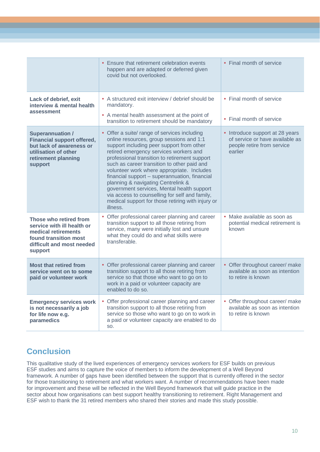|                                                                                                                                                    | • Ensure that retirement celebration events<br>happen and are adapted or deferred given<br>covid but not overlooked.                                                                                                                                                                                                                                                                                                                                                                                                                                                                  | • Final month of service                                                                                    |
|----------------------------------------------------------------------------------------------------------------------------------------------------|---------------------------------------------------------------------------------------------------------------------------------------------------------------------------------------------------------------------------------------------------------------------------------------------------------------------------------------------------------------------------------------------------------------------------------------------------------------------------------------------------------------------------------------------------------------------------------------|-------------------------------------------------------------------------------------------------------------|
| Lack of debrief, exit<br>interview & mental health<br>assessment                                                                                   | • A structured exit interview / debrief should be<br>mandatory.<br>• A mental health assessment at the point of<br>transition to retirement should be mandatory                                                                                                                                                                                                                                                                                                                                                                                                                       | • Final month of service<br>• Final month of service                                                        |
| <b>Superannuation /</b><br><b>Financial support offered,</b><br>but lack of awareness or<br>utilisation of other<br>retirement planning<br>support | • Offer a suite/ range of services including<br>online resources, group sessions and 1:1<br>support including peer support from other<br>retired emergency services workers and<br>professional transition to retirement support<br>such as career transition to other paid and<br>volunteer work where appropriate. Includes<br>financial support - superannuation, financial<br>planning & navigating Centrelink &<br>government services, Mental health support<br>via access to counselling for self and family,<br>medical support for those retiring with injury or<br>illness. | • Introduce support at 28 years<br>of service or have available as<br>people retire from service<br>earlier |
| Those who retired from<br>service with ill health or<br>medical retirements<br>found transition most<br>difficult and most needed<br>support       | Offer professional career planning and career<br>transition support to all those retiring from<br>service, many were initially lost and unsure<br>what they could do and what skills were<br>transferable.                                                                                                                                                                                                                                                                                                                                                                            | • Make available as soon as<br>potential medical retirement is<br>known                                     |
| <b>Most that retired from</b><br>service went on to some<br>paid or volunteer work                                                                 | • Offer professional career planning and career<br>transition support to all those retiring from<br>service so that those who want to go on to<br>work in a paid or volunteer capacity are<br>enabled to do so.                                                                                                                                                                                                                                                                                                                                                                       | • Offer throughout career/ make<br>available as soon as intention<br>to retire is known                     |
| <b>Emergency services work</b><br>is not necessarily a job<br>for life now e.g.<br>paramedics                                                      | • Offer professional career planning and career<br>transition support to all those retiring from<br>service so those who want to go on to work in<br>a paid or volunteer capacity are enabled to do<br>SO.                                                                                                                                                                                                                                                                                                                                                                            | • Offer throughout career/ make<br>available as soon as intention<br>to retire is known                     |

# **Conclusion**

This qualitative study of the lived experiences of emergency services workers for ESF builds on previous ESF studies and aims to capture the voice of members to inform the development of a Well Beyond framework. A number of gaps have been identified between the support that is currently offered in the sector for those transitioning to retirement and what workers want. A number of recommendations have been made for improvement and these will be reflected in the Well Beyond framework that will guide practice in the sector about how organisations can best support healthy transitioning to retirement. Right Management and ESF wish to thank the 31 retired members who shared their stories and made this study possible.